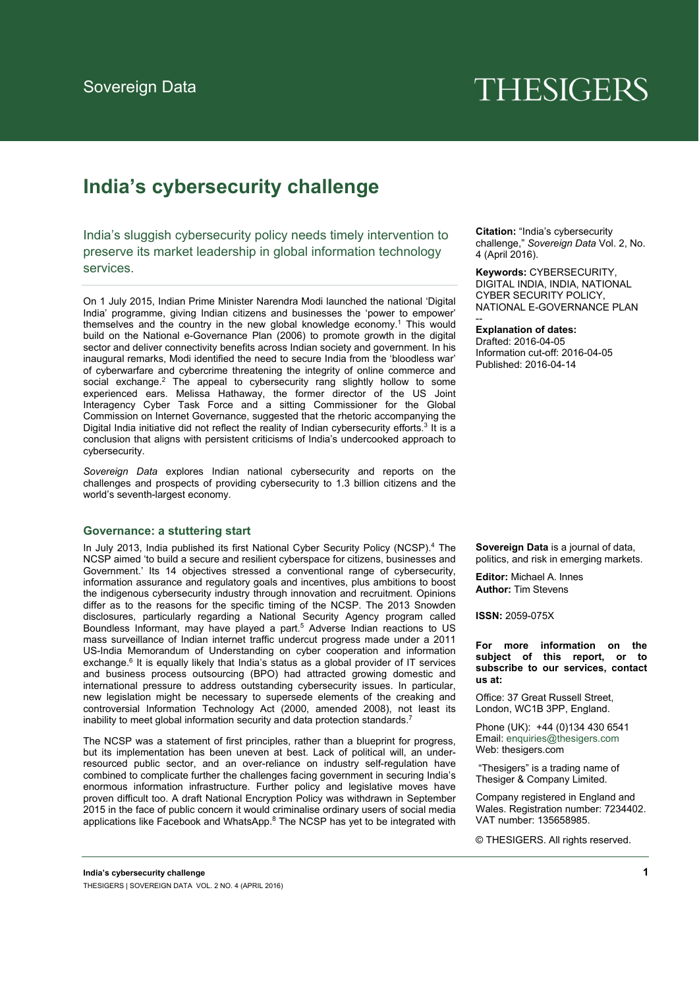# **THESIGERS**

# **India's cybersecurity challenge**

India's sluggish cybersecurity policy needs timely intervention to preserve its market leadership in global information technology services.

On 1 July 2015, Indian Prime Minister Narendra Modi launched the national 'Digital India' programme, giving Indian citizens and businesses the 'power to empower' themselves and the country in the new global knowledge economy.<sup>1</sup> This would build on the National e-Governance Plan (2006) to promote growth in the digital sector and deliver connectivity benefits across Indian society and government. In his inaugural remarks, Modi identified the need to secure India from the 'bloodless war' of cyberwarfare and cybercrime threatening the integrity of online commerce and social exchange.<sup>2</sup> The appeal to cybersecurity rang slightly hollow to some experienced ears. Melissa Hathaway, the former director of the US Joint Interagency Cyber Task Force and a sitting Commissioner for the Global Commission on Internet Governance, suggested that the rhetoric accompanying the Digital India initiative did not reflect the reality of Indian cybersecurity efforts.<sup>3</sup> It is a conclusion that aligns with persistent criticisms of India's undercooked approach to cybersecurity.

*Sovereign Data* explores Indian national cybersecurity and reports on the challenges and prospects of providing cybersecurity to 1.3 billion citizens and the world's seventh-largest economy.

#### **Governance: a stuttering start**

In July 2013, India published its first National Cyber Security Policy (NCSP).<sup>4</sup> The NCSP aimed 'to build a secure and resilient cyberspace for citizens, businesses and Government.' Its 14 objectives stressed a conventional range of cybersecurity, information assurance and regulatory goals and incentives, plus ambitions to boost the indigenous cybersecurity industry through innovation and recruitment. Opinions differ as to the reasons for the specific timing of the NCSP. The 2013 Snowden disclosures, particularly regarding a National Security Agency program called Boundless Informant, may have played a part.<sup>5</sup> Adverse Indian reactions to US mass surveillance of Indian internet traffic undercut progress made under a 2011 US-India Memorandum of Understanding on cyber cooperation and information exchange.<sup>6</sup> It is equally likely that India's status as a global provider of IT services and business process outsourcing (BPO) had attracted growing domestic and international pressure to address outstanding cybersecurity issues. In particular, new legislation might be necessary to supersede elements of the creaking and controversial Information Technology Act (2000, amended 2008), not least its inability to meet global information security and data protection standards.<sup>7</sup>

The NCSP was a statement of first principles, rather than a blueprint for progress, but its implementation has been uneven at best. Lack of political will, an underresourced public sector, and an over-reliance on industry self-regulation have combined to complicate further the challenges facing government in securing India's enormous information infrastructure. Further policy and legislative moves have proven difficult too. A draft National Encryption Policy was withdrawn in September 2015 in the face of public concern it would criminalise ordinary users of social media applications like Facebook and WhatsApp.8 The NCSP has yet to be integrated with **Citation:** "India's cybersecurity challenge," *Sovereign Data* Vol. 2, No. 4 (April 2016).

**Keywords:** CYBERSECURITY, DIGITAL INDIA, INDIA, NATIONAL CYBER SECURITY POLICY, NATIONAL E-GOVERNANCE PLAN

**Explanation of dates:**  Drafted: 2016-04-05 Information cut-off: 2016-04-05 Published: 2016-04-14

--

**Sovereign Data** is a journal of data, politics, and risk in emerging markets.

**Editor:** Michael A. Innes **Author:** Tim Stevens

**ISSN:** 2059-075X

**For more information on the subject of this report, or to subscribe to our services, contact us at:** 

Office: 37 Great Russell Street, London, WC1B 3PP, England.

Phone (UK): +44 (0)134 430 6541 Email: enquiries@thesigers.com Web: thesigers.com

 "Thesigers" is a trading name of Thesiger & Company Limited.

Company registered in England and Wales. Registration number: 7234402. VAT number: 135658985.

© THESIGERS. All rights reserved.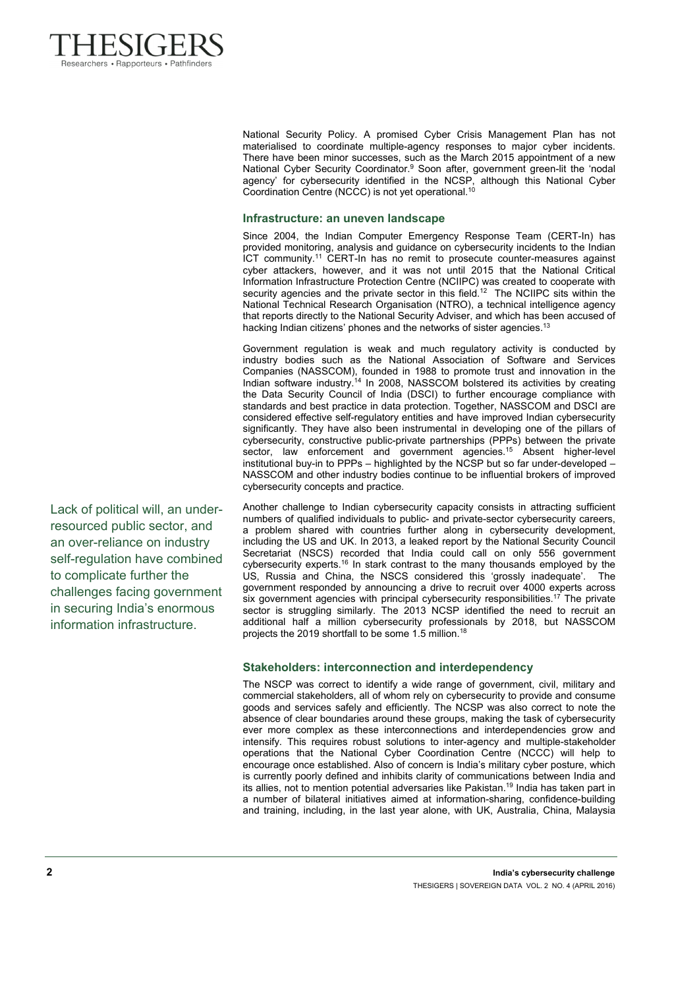

National Security Policy. A promised Cyber Crisis Management Plan has not materialised to coordinate multiple-agency responses to major cyber incidents. There have been minor successes, such as the March 2015 appointment of a new National Cyber Security Coordinator.9 Soon after, government green-lit the 'nodal agency' for cybersecurity identified in the NCSP, although this National Cyber Coordination Centre (NCCC) is not yet operational.<sup>10</sup>

## **Infrastructure: an uneven landscape**

Since 2004, the Indian Computer Emergency Response Team (CERT-In) has provided monitoring, analysis and guidance on cybersecurity incidents to the Indian ICT community.11 CERT-In has no remit to prosecute counter-measures against cyber attackers, however, and it was not until 2015 that the National Critical Information Infrastructure Protection Centre (NCIIPC) was created to cooperate with security agencies and the private sector in this field.<sup>12</sup> The NCIIPC sits within the National Technical Research Organisation (NTRO), a technical intelligence agency that reports directly to the National Security Adviser, and which has been accused of hacking Indian citizens' phones and the networks of sister agencies.<sup>13</sup>

Government regulation is weak and much regulatory activity is conducted by industry bodies such as the National Association of Software and Services Companies (NASSCOM), founded in 1988 to promote trust and innovation in the Indian software industry.<sup>14</sup> In 2008, NASSCOM bolstered its activities by creating the Data Security Council of India (DSCI) to further encourage compliance with standards and best practice in data protection. Together, NASSCOM and DSCI are considered effective self-regulatory entities and have improved Indian cybersecurity significantly. They have also been instrumental in developing one of the pillars of cybersecurity, constructive public-private partnerships (PPPs) between the private sector, law enforcement and government agencies.<sup>15</sup> Absent higher-level institutional buy-in to PPPs – highlighted by the NCSP but so far under-developed – NASSCOM and other industry bodies continue to be influential brokers of improved cybersecurity concepts and practice.

Another challenge to Indian cybersecurity capacity consists in attracting sufficient numbers of qualified individuals to public- and private-sector cybersecurity careers, a problem shared with countries further along in cybersecurity development, including the US and UK. In 2013, a leaked report by the National Security Council Secretariat (NSCS) recorded that India could call on only 556 government cybersecurity experts.16 In stark contrast to the many thousands employed by the US, Russia and China, the NSCS considered this 'grossly inadequate'. The government responded by announcing a drive to recruit over 4000 experts across six government agencies with principal cybersecurity responsibilities.<sup>17</sup> The private sector is struggling similarly. The 2013 NCSP identified the need to recruit an additional half a million cybersecurity professionals by 2018, but NASSCOM projects the 2019 shortfall to be some 1.5 million.18

# **Stakeholders: interconnection and interdependency**

The NSCP was correct to identify a wide range of government, civil, military and commercial stakeholders, all of whom rely on cybersecurity to provide and consume goods and services safely and efficiently. The NCSP was also correct to note the absence of clear boundaries around these groups, making the task of cybersecurity ever more complex as these interconnections and interdependencies grow and intensify. This requires robust solutions to inter-agency and multiple-stakeholder operations that the National Cyber Coordination Centre (NCCC) will help to encourage once established. Also of concern is India's military cyber posture, which is currently poorly defined and inhibits clarity of communications between India and its allies, not to mention potential adversaries like Pakistan.<sup>19</sup> India has taken part in a number of bilateral initiatives aimed at information-sharing, confidence-building and training, including, in the last year alone, with UK, Australia, China, Malaysia

Lack of political will, an underresourced public sector, and an over-reliance on industry self-regulation have combined to complicate further the challenges facing government in securing India's enormous information infrastructure.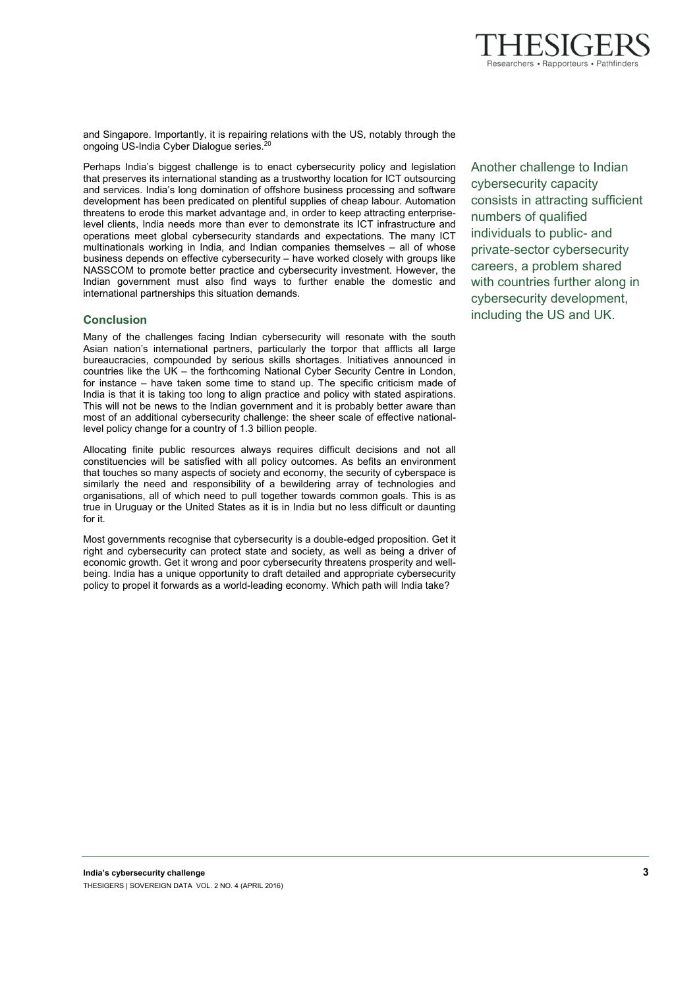

and Singapore. Importantly, it is repairing relations with the US, notably through the ongoing US-India Cyber Dialogue series.<sup>20</sup>

Perhaps India's biggest challenge is to enact cybersecurity policy and legislation that preserves its international standing as a trustworthy location for ICT outsourcing and services. India's long domination of offshore business processing and software development has been predicated on plentiful supplies of cheap labour. Automation threatens to erode this market advantage and, in order to keep attracting enterpriselevel clients, India needs more than ever to demonstrate its ICT infrastructure and operations meet global cybersecurity standards and expectations. The many ICT multinationals working in India, and Indian companies themselves – all of whose business depends on effective cybersecurity – have worked closely with groups like NASSCOM to promote better practice and cybersecurity investment. However, the Indian government must also find ways to further enable the domestic and international partnerships this situation demands.

# **Conclusion**

Many of the challenges facing Indian cybersecurity will resonate with the south Asian nation's international partners, particularly the torpor that afflicts all large bureaucracies, compounded by serious skills shortages. Initiatives announced in countries like the UK – the forthcoming National Cyber Security Centre in London, for instance – have taken some time to stand up. The specific criticism made of India is that it is taking too long to align practice and policy with stated aspirations. This will not be news to the Indian government and it is probably better aware than most of an additional cybersecurity challenge: the sheer scale of effective nationallevel policy change for a country of 1.3 billion people.

Allocating finite public resources always requires difficult decisions and not all constituencies will be satisfied with all policy outcomes. As befits an environment that touches so many aspects of society and economy, the security of cyberspace is similarly the need and responsibility of a bewildering array of technologies and organisations, all of which need to pull together towards common goals. This is as true in Uruguay or the United States as it is in India but no less difficult or daunting for it.

Most governments recognise that cybersecurity is a double-edged proposition. Get it right and cybersecurity can protect state and society, as well as being a driver of economic growth. Get it wrong and poor cybersecurity threatens prosperity and wellbeing. India has a unique opportunity to draft detailed and appropriate cybersecurity policy to propel it forwards as a world-leading economy. Which path will India take?

Another challenge to Indian cybersecurity capacity consists in attracting sufficient numbers of qualified individuals to public- and private-sector cybersecurity careers, a problem shared with countries further along in cybersecurity development, including the US and UK.